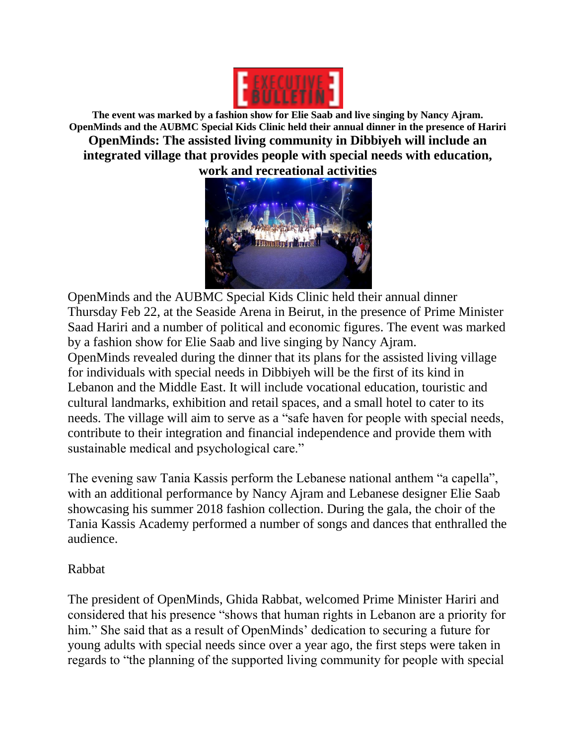

**The event was marked by a fashion show for Elie Saab and live singing by Nancy Ajram. OpenMinds and the AUBMC Special Kids Clinic held their annual dinner in the presence of Hariri OpenMinds: The assisted living community in Dibbiyeh will include an integrated village that provides people with special needs with education, work and recreational activities**



OpenMinds and the AUBMC Special Kids Clinic held their annual dinner Thursday Feb 22, at the Seaside Arena in Beirut, in the presence of Prime Minister Saad Hariri and a number of political and economic figures. The event was marked by a fashion show for Elie Saab and live singing by Nancy Ajram. OpenMinds revealed during the dinner that its plans for the assisted living village for individuals with special needs in Dibbiyeh will be the first of its kind in Lebanon and the Middle East. It will include vocational education, touristic and cultural landmarks, exhibition and retail spaces, and a small hotel to cater to its needs. The village will aim to serve as a "safe haven for people with special needs, contribute to their integration and financial independence and provide them with sustainable medical and psychological care."

The evening saw Tania Kassis perform the Lebanese national anthem "a capella", with an additional performance by Nancy Ajram and Lebanese designer Elie Saab showcasing his summer 2018 fashion collection. During the gala, the choir of the Tania Kassis Academy performed a number of songs and dances that enthralled the audience.

## Rabbat

The president of OpenMinds, Ghida Rabbat, welcomed Prime Minister Hariri and considered that his presence "shows that human rights in Lebanon are a priority for him." She said that as a result of OpenMinds' dedication to securing a future for young adults with special needs since over a year ago, the first steps were taken in regards to "the planning of the supported living community for people with special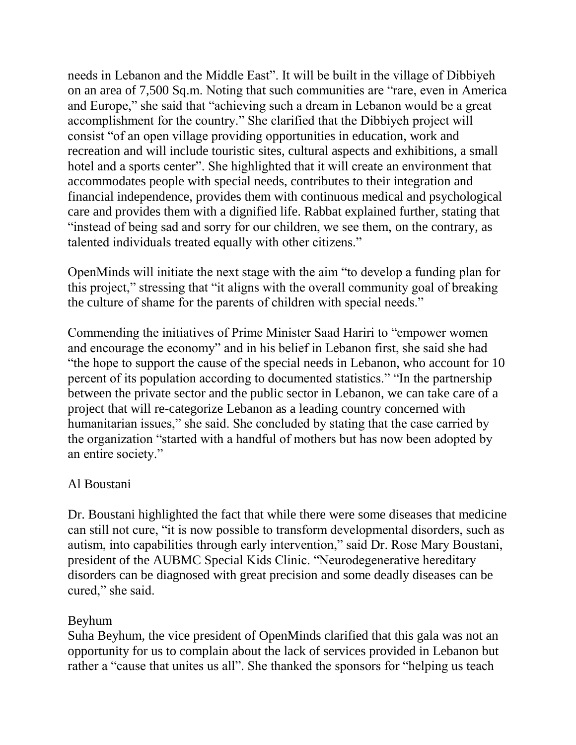needs in Lebanon and the Middle East". It will be built in the village of Dibbiyeh on an area of 7,500 Sq.m. Noting that such communities are "rare, even in America and Europe," she said that "achieving such a dream in Lebanon would be a great accomplishment for the country." She clarified that the Dibbiyeh project will consist "of an open village providing opportunities in education, work and recreation and will include touristic sites, cultural aspects and exhibitions, a small hotel and a sports center". She highlighted that it will create an environment that accommodates people with special needs, contributes to their integration and financial independence, provides them with continuous medical and psychological care and provides them with a dignified life. Rabbat explained further, stating that "instead of being sad and sorry for our children, we see them, on the contrary, as talented individuals treated equally with other citizens."

OpenMinds will initiate the next stage with the aim "to develop a funding plan for this project," stressing that "it aligns with the overall community goal of breaking the culture of shame for the parents of children with special needs."

Commending the initiatives of Prime Minister Saad Hariri to "empower women and encourage the economy" and in his belief in Lebanon first, she said she had "the hope to support the cause of the special needs in Lebanon, who account for 10 percent of its population according to documented statistics." "In the partnership between the private sector and the public sector in Lebanon, we can take care of a project that will re-categorize Lebanon as a leading country concerned with humanitarian issues," she said. She concluded by stating that the case carried by the organization "started with a handful of mothers but has now been adopted by an entire society."

## Al Boustani

Dr. Boustani highlighted the fact that while there were some diseases that medicine can still not cure, "it is now possible to transform developmental disorders, such as autism, into capabilities through early intervention," said Dr. Rose Mary Boustani, president of the AUBMC Special Kids Clinic. "Neurodegenerative hereditary disorders can be diagnosed with great precision and some deadly diseases can be cured," she said.

## Beyhum

Suha Beyhum, the vice president of OpenMinds clarified that this gala was not an opportunity for us to complain about the lack of services provided in Lebanon but rather a "cause that unites us all". She thanked the sponsors for "helping us teach